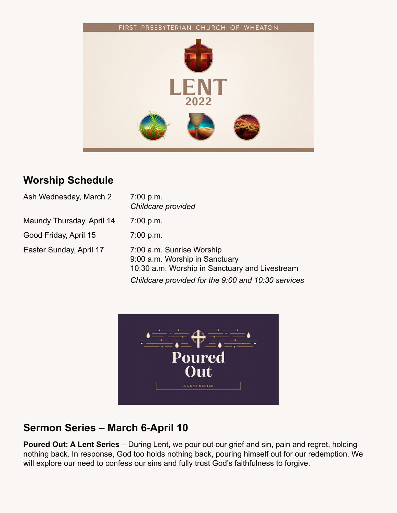

### **Worship Schedule**

| Ash Wednesday, March 2    | 7:00 p.m.<br>Childcare provided                                                                               |
|---------------------------|---------------------------------------------------------------------------------------------------------------|
| Maundy Thursday, April 14 | 7:00 p.m.                                                                                                     |
| Good Friday, April 15     | 7:00 p.m.                                                                                                     |
| Easter Sunday, April 17   | 7:00 a.m. Sunrise Worship<br>9:00 a.m. Worship in Sanctuary<br>10:30 a.m. Worship in Sanctuary and Livestream |
|                           | Childcare provided for the 9:00 and 10:30 services                                                            |



# **Sermon Series – March 6-April 10**

**Poured Out: A Lent Series** – During Lent, we pour out our grief and sin, pain and regret, holding nothing back. In response, God too holds nothing back, pouring himself out for our redemption. We will explore our need to confess our sins and fully trust God's faithfulness to forgive.